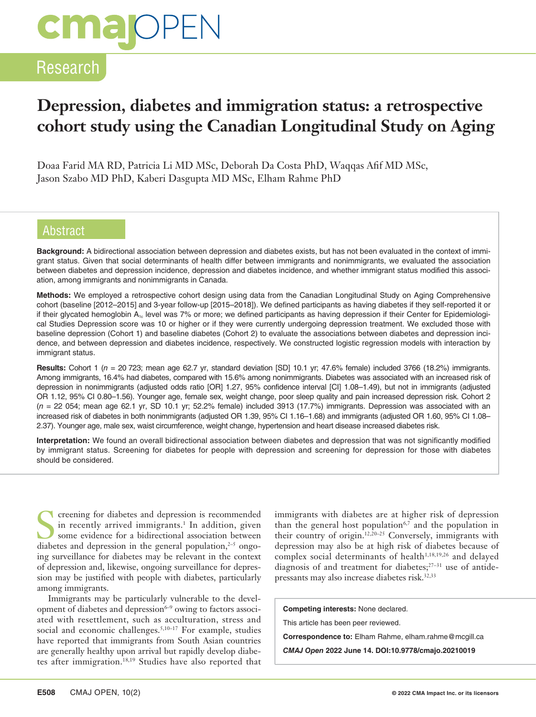# **cmalOPEI**

## Research

## **Depression, diabetes and immigration status: a retrospective cohort study using the Canadian Longitudinal Study on Aging**

Doaa Farid MA RD, Patricia Li MD MSc, Deborah Da Costa PhD, Waqqas Afif MD MSc, Jason Szabo MD PhD, Kaberi Dasgupta MD MSc, Elham Rahme PhD

#### Abstract

**Background:** A bidirectional association between depression and diabetes exists, but has not been evaluated in the context of immigrant status. Given that social determinants of health differ between immigrants and nonimmigrants, we evaluated the association between diabetes and depression incidence, depression and diabetes incidence, and whether immigrant status modified this association, among immigrants and nonimmigrants in Canada.

**Methods:** We employed a retrospective cohort design using data from the Canadian Longitudinal Study on Aging Comprehensive cohort (baseline [2012–2015] and 3-year follow-up [2015–2018]). We defined participants as having diabetes if they self-reported it or if their glycated hemoglobin A<sub>1c</sub> level was 7% or more; we defined participants as having depression if their Center for Epidemiological Studies Depression score was 10 or higher or if they were currently undergoing depression treatment. We excluded those with baseline depression (Cohort 1) and baseline diabetes (Cohort 2) to evaluate the associations between diabetes and depression incidence, and between depression and diabetes incidence, respectively. We constructed logistic regression models with interaction by immigrant status.

**Results:** Cohort 1 (*n* = 20 723; mean age 62.7 yr, standard deviation [SD] 10.1 yr; 47.6% female) included 3766 (18.2%) immigrants. Among immigrants, 16.4% had diabetes, compared with 15.6% among nonimmigrants. Diabetes was associated with an increased risk of depression in nonimmigrants (adjusted odds ratio [OR] 1.27, 95% confidence interval [CI] 1.08–1.49), but not in immigrants (adjusted OR 1.12, 95% CI 0.80–1.56). Younger age, female sex, weight change, poor sleep quality and pain increased depression risk. Cohort 2 (*n* = 22 054; mean age 62.1 yr, SD 10.1 yr; 52.2% female) included 3913 (17.7%) immigrants. Depression was associated with an increased risk of diabetes in both nonimmigrants (adjusted OR 1.39, 95% CI 1.16–1.68) and immigrants (adjusted OR 1.60, 95% CI 1.08– 2.37). Younger age, male sex, waist circumference, weight change, hypertension and heart disease increased diabetes risk.

**Interpretation:** We found an overall bidirectional association between diabetes and depression that was not significantly modified by immigrant status. Screening for diabetes for people with depression and screening for depression for those with diabetes should be considered.

**SCREEN** creening for diabetes and depression is recommended in recently arrived immigrants.<sup>1</sup> In addition, given some evidence for a bidirectional association between diabetes and depression in the general population, $2-5$  ongoing surveillance for diabetes may be relevant in the context of depression and, likewise, ongoing surveillance for depression may be justified with people with diabetes, particularly among immigrants.

Immigrants may be particularly vulnerable to the development of diabetes and depression $6-9$  owing to factors associated with resettlement, such as acculturation, stress and social and economic challenges.<sup>5,10-17</sup> For example, studies have reported that immigrants from South Asian countries are generally healthy upon arrival but rapidly develop diabetes after immigration.18,19 Studies have also reported that immigrants with diabetes are at higher risk of depression than the general host population<sup>6,7</sup> and the population in their country of origin.12,20–25 Conversely, immigrants with depression may also be at high risk of diabetes because of complex social determinants of health<sup>1,18,19,26</sup> and delayed diagnosis of and treatment for diabetes;<sup>27-31</sup> use of antidepressants may also increase diabetes risk.<sup>32,33</sup>

**Competing interests:** None declared.

This article has been peer reviewed.

**Correspondence to:** Elham Rahme, elham.rahme@mcgill.ca

*CMAJ Open* **2022 June 14. DOI:10.9778/cmajo.20210019**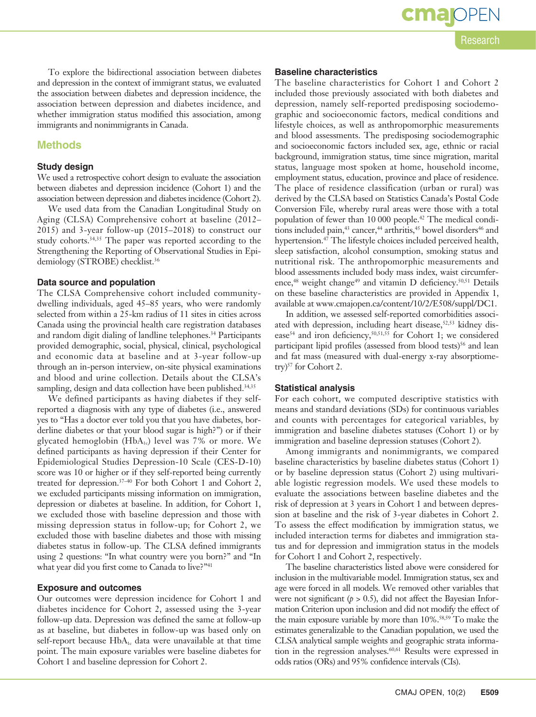To explore the bidirectional association between diabetes and depression in the context of immigrant status, we evaluated the association between diabetes and depression incidence, the association between depression and diabetes incidence, and

#### **Methods**

#### **Study design**

We used a retrospective cohort design to evaluate the association between diabetes and depression incidence (Cohort 1) and the association between depression and diabetes incidence (Cohort 2).

whether immigration status modified this association, among

immigrants and nonimmigrants in Canada.

We used data from the Canadian Longitudinal Study on Aging (CLSA) Comprehensive cohort at baseline (2012– 2015) and 3-year follow-up (2015–2018) to construct our study cohorts.<sup>34,35</sup> The paper was reported according to the Strengthening the Reporting of Observational Studies in Epidemiology (STROBE) checklist.<sup>36</sup>

#### **Data source and population**

The CLSA Comprehensive cohort included communitydwelling individuals, aged 45–85 years, who were randomly selected from within a 25-km radius of 11 sites in cities across Canada using the provincial health care registration databases and random digit dialing of landline telephones.<sup>34</sup> Participants provided demographic, social, physical, clinical, psychological and economic data at baseline and at 3-year follow-up through an in-person interview, on-site physical examinations and blood and urine collection. Details about the CLSA's sampling, design and data collection have been published.<sup>34,35</sup>

We defined participants as having diabetes if they selfreported a diagnosis with any type of diabetes (i.e., answered yes to "Has a doctor ever told you that you have diabetes, borderline diabetes or that your blood sugar is high?") or if their glycated hemoglobin  $(HbA_{1c})$  level was 7% or more. We defined participants as having depression if their Center for Epidemiological Studies Depression-10 Scale (CES-D-10) score was 10 or higher or if they self-reported being currently treated for depression.37–40 For both Cohort 1 and Cohort 2, we excluded participants missing information on immigration, depression or diabetes at baseline. In addition, for Cohort 1, we excluded those with baseline depression and those with missing depression status in follow-up; for Cohort 2, we excluded those with baseline diabetes and those with missing diabetes status in follow-up. The CLSA defined immigrants using 2 questions: "In what country were you born?" and "In what year did you first come to Canada to live?"<sup>41</sup>

#### **Exposure and outcomes**

Our outcomes were depression incidence for Cohort 1 and diabetes incidence for Cohort 2, assessed using the 3-year follow-up data. Depression was defined the same at follow-up as at baseline, but diabetes in follow-up was based only on self-report because HbA<sub>1c</sub> data were unavailable at that time point. The main exposure variables were baseline diabetes for Cohort 1 and baseline depression for Cohort 2.

#### **Baseline characteristics**

The baseline characteristics for Cohort 1 and Cohort 2 included those previously associated with both diabetes and depression, namely self-reported predisposing sociodemographic and socioeconomic factors, medical conditions and lifestyle choices, as well as anthropomorphic measurements and blood assessments. The predisposing sociodemographic and socioeconomic factors included sex, age, ethnic or racial background, immigration status, time since migration, marital status, language most spoken at home, household income, employment status, education, province and place of residence. The place of residence classification (urban or rural) was derived by the CLSA based on Statistics Canada's Postal Code Conversion File, whereby rural areas were those with a total population of fewer than 10 000 people.<sup>42</sup> The medical conditions included pain,<sup>43</sup> cancer,<sup>44</sup> arthritis,<sup>45</sup> bowel disorders<sup>46</sup> and hypertension.<sup>47</sup> The lifestyle choices included perceived health, sleep satisfaction, alcohol consumption, smoking status and nutritional risk. The anthropomorphic measurements and blood assessments included body mass index, waist circumference,<sup>48</sup> weight change<sup>49</sup> and vitamin D deficiency.<sup>50,51</sup> Details on these baseline characteristics are provided in Appendix 1, available at www.cmajopen.ca/content/10/2/E508/suppl/DC1.

In addition, we assessed self-reported comorbidities associated with depression, including heart disease,<sup>52,53</sup> kidney disease<sup>54</sup> and iron deficiency,<sup>50,51,55</sup> for Cohort 1; we considered participant lipid profiles (assessed from blood tests)<sup>56</sup> and lean and fat mass (measured with dual-energy x-ray absorptiometry)<sup>57</sup> for Cohort 2.

#### **Statistical analysis**

For each cohort, we computed descriptive statistics with means and standard deviations (SDs) for continuous variables and counts with percentages for categorical variables, by immigration and baseline diabetes statuses (Cohort 1) or by immigration and baseline depression statuses (Cohort 2).

Among immigrants and nonimmigrants, we compared baseline characteristics by baseline diabetes status (Cohort 1) or by baseline depression status (Cohort 2) using multivariable logistic regression models. We used these models to evaluate the associations between baseline diabetes and the risk of depression at 3 years in Cohort 1 and between depression at baseline and the risk of 3-year diabetes in Cohort 2. To assess the effect modification by immigration status, we included interaction terms for diabetes and immigration status and for depression and immigration status in the models for Cohort 1 and Cohort 2, respectively.

The baseline characteristics listed above were considered for inclusion in the multivariable model. Immigration status, sex and age were forced in all models. We removed other variables that were not significant  $(p > 0.5)$ , did not affect the Bayesian Information Criterion upon inclusion and did not modify the effect of the main exposure variable by more than 10%.<sup>58,59</sup> To make the estimates generalizable to the Canadian population, we used the CLSA analytical sample weights and geographic strata information in the regression analyses.<sup>60,61</sup> Results were expressed in odds ratios (ORs) and 95% confidence intervals (CIs).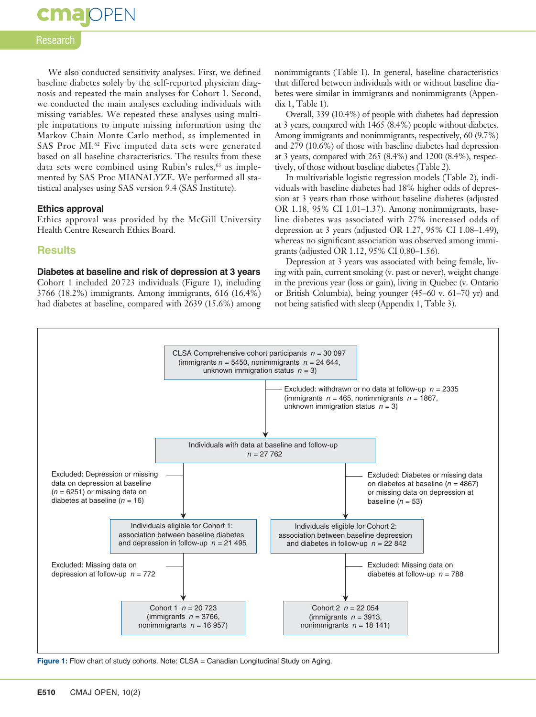

#### Research

We also conducted sensitivity analyses. First, we defined baseline diabetes solely by the self-reported physician diagnosis and repeated the main analyses for Cohort 1. Second, we conducted the main analyses excluding individuals with missing variables. We repeated these analyses using multiple imputations to impute missing information using the Markov Chain Monte Carlo method, as implemented in SAS Proc MI.<sup>62</sup> Five imputed data sets were generated based on all baseline characteristics. The results from these data sets were combined using Rubin's rules,<sup>63</sup> as implemented by SAS Proc MIANALYZE. We performed all statistical analyses using SAS version 9.4 (SAS Institute).

#### **Ethics approval**

Ethics approval was provided by the McGill University Health Centre Research Ethics Board.

#### **Results**

#### **Diabetes at baseline and risk of depression at 3 years**

Cohort 1 included 20 723 individuals (Figure 1), including 3766 (18.2%) immigrants. Among immigrants, 616 (16.4%) had diabetes at baseline, compared with 2639 (15.6%) among nonimmigrants (Table 1). In general, baseline characteristics that differed between individuals with or without baseline diabetes were similar in immigrants and nonimmigrants (Appendix 1, Table 1).

Overall, 339 (10.4%) of people with diabetes had depression at 3 years, compared with 1465 (8.4%) people without diabetes. Among immigrants and nonimmigrants, respectively, 60 (9.7%) and 279 (10.6%) of those with baseline diabetes had depression at 3 years, compared with 265 (8.4%) and 1200 (8.4%), respectively, of those without baseline diabetes (Table 2).

In multivariable logistic regression models (Table 2), individuals with baseline diabetes had 18% higher odds of depression at 3 years than those without baseline diabetes (adjusted OR 1.18, 95% CI 1.01–1.37). Among nonimmigrants, baseline diabetes was associated with 27% increased odds of depression at 3 years (adjusted OR 1.27, 95% CI 1.08–1.49), whereas no significant association was observed among immigrants (adjusted OR 1.12, 95% CI 0.80–1.56).

Depression at 3 years was associated with being female, living with pain, current smoking (v. past or never), weight change in the previous year (loss or gain), living in Quebec (v. Ontario or British Columbia), being younger (45–60 v. 61–70 yr) and not being satisfied with sleep (Appendix 1, Table 3).



Figure 1: Flow chart of study cohorts. Note: CLSA = Canadian Longitudinal Study on Aging.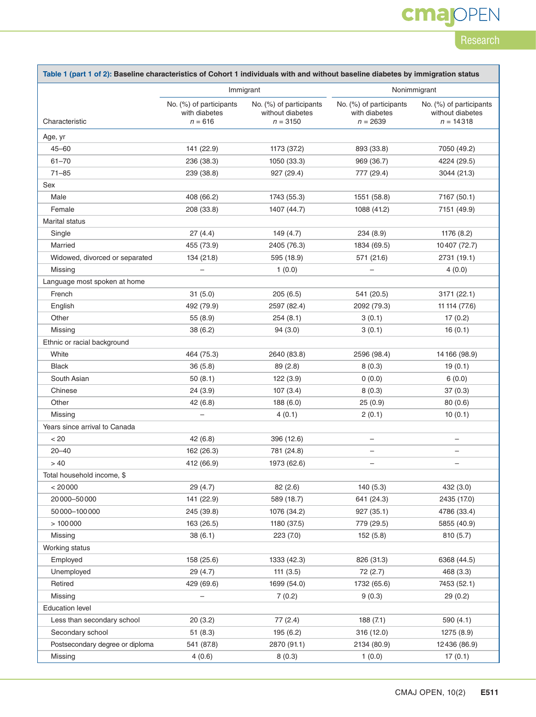## **cmajOPEN**

### Research

| Table 1 (part 1 of 2): Baseline characteristics of Cohort 1 individuals with and without baseline diabetes by immigration status |                                                       |                                                           |                                                        |                                                               |  |
|----------------------------------------------------------------------------------------------------------------------------------|-------------------------------------------------------|-----------------------------------------------------------|--------------------------------------------------------|---------------------------------------------------------------|--|
|                                                                                                                                  | Immigrant                                             |                                                           | Nonimmigrant                                           |                                                               |  |
| Characteristic                                                                                                                   | No. (%) of participants<br>with diabetes<br>$n = 616$ | No. (%) of participants<br>without diabetes<br>$n = 3150$ | No. (%) of participants<br>with diabetes<br>$n = 2639$ | No. $(\%)$ of participants<br>without diabetes<br>$n = 14318$ |  |
| Age, yr                                                                                                                          |                                                       |                                                           |                                                        |                                                               |  |
| $45 - 60$                                                                                                                        | 141 (22.9)                                            | 1173 (37.2)                                               | 893 (33.8)                                             | 7050 (49.2)                                                   |  |
| $61 - 70$                                                                                                                        | 236 (38.3)                                            | 1050 (33.3)                                               | 969 (36.7)                                             | 4224 (29.5)                                                   |  |
| $71 - 85$                                                                                                                        | 239 (38.8)                                            | 927 (29.4)                                                | 777 (29.4)                                             | 3044 (21.3)                                                   |  |
| Sex                                                                                                                              |                                                       |                                                           |                                                        |                                                               |  |
| Male                                                                                                                             | 408 (66.2)                                            | 1743 (55.3)                                               | 1551 (58.8)                                            | 7167 (50.1)                                                   |  |
| Female                                                                                                                           | 208 (33.8)                                            | 1407 (44.7)                                               | 1088 (41.2)                                            | 7151 (49.9)                                                   |  |
| <b>Marital status</b>                                                                                                            |                                                       |                                                           |                                                        |                                                               |  |
| Single                                                                                                                           | 27(4.4)                                               | 149 (4.7)                                                 | 234(8.9)                                               | 1176 (8.2)                                                    |  |
| Married                                                                                                                          | 455 (73.9)                                            | 2405 (76.3)                                               | 1834 (69.5)                                            | 10407 (72.7)                                                  |  |
| Widowed, divorced or separated                                                                                                   | 134 (21.8)                                            | 595 (18.9)                                                | 571 (21.6)                                             | 2731 (19.1)                                                   |  |
| Missing                                                                                                                          |                                                       | 1(0.0)                                                    |                                                        | 4(0.0)                                                        |  |
| Language most spoken at home                                                                                                     |                                                       |                                                           |                                                        |                                                               |  |
| French                                                                                                                           | 31(5.0)                                               | 205(6.5)                                                  | 541 (20.5)                                             | 3171 (22.1)                                                   |  |
| English                                                                                                                          | 492 (79.9)                                            | 2597 (82.4)                                               | 2092 (79.3)                                            | 11 114 (77.6)                                                 |  |
| Other                                                                                                                            | 55 (8.9)                                              | 254(8.1)                                                  | 3(0.1)                                                 | 17(0.2)                                                       |  |
| Missing                                                                                                                          | 38(6.2)                                               | 94(3.0)                                                   | 3(0.1)                                                 | 16(0.1)                                                       |  |
| Ethnic or racial background                                                                                                      |                                                       |                                                           |                                                        |                                                               |  |
| White                                                                                                                            | 464 (75.3)                                            | 2640 (83.8)                                               | 2596 (98.4)                                            | 14 166 (98.9)                                                 |  |
| <b>Black</b>                                                                                                                     | 36(5.8)                                               | 89 (2.8)                                                  | 8(0.3)                                                 | 19(0.1)                                                       |  |
| South Asian                                                                                                                      | 50(8.1)                                               | 122(3.9)                                                  | 0(0.0)                                                 | 6(0.0)                                                        |  |
| Chinese                                                                                                                          | 24(3.9)                                               | 107(3.4)                                                  | 8(0.3)                                                 | 37(0.3)                                                       |  |
| Other                                                                                                                            | 42 (6.8)                                              | 188 (6.0)                                                 | 25(0.9)                                                | 80(0.6)                                                       |  |
| Missing                                                                                                                          |                                                       | 4(0.1)                                                    | 2(0.1)                                                 | 10(0.1)                                                       |  |
| Years since arrival to Canada                                                                                                    |                                                       |                                                           |                                                        |                                                               |  |
| < 20                                                                                                                             | 42(6.8)                                               | 396 (12.6)                                                | $\qquad \qquad -$                                      | $\overline{\phantom{m}}$                                      |  |
| $20 - 40$                                                                                                                        | 162 (26.3)                                            | 781 (24.8)                                                |                                                        |                                                               |  |
| > 40                                                                                                                             | 412 (66.9)                                            | 1973 (62.6)                                               |                                                        |                                                               |  |
| Total household income, \$                                                                                                       |                                                       |                                                           |                                                        |                                                               |  |
| < 20000                                                                                                                          | 29 (4.7)                                              | 82(2.6)                                                   | 140(5.3)                                               | 432 (3.0)                                                     |  |
| 20000-50000                                                                                                                      | 141 (22.9)                                            | 589 (18.7)                                                | 641 (24.3)                                             | 2435 (17.0)                                                   |  |
| 50000-100000                                                                                                                     | 245 (39.8)                                            | 1076 (34.2)                                               | 927 (35.1)                                             | 4786 (33.4)                                                   |  |
| >100000                                                                                                                          | 163 (26.5)                                            | 1180 (37.5)                                               | 779 (29.5)                                             | 5855 (40.9)                                                   |  |
| Missing                                                                                                                          | 38(6.1)                                               | 223 (7.0)                                                 | 152 (5.8)                                              | 810 (5.7)                                                     |  |
| Working status                                                                                                                   |                                                       |                                                           |                                                        |                                                               |  |
| Employed                                                                                                                         | 158 (25.6)                                            | 1333 (42.3)                                               | 826 (31.3)                                             | 6368 (44.5)                                                   |  |
| Unemployed                                                                                                                       | 29 (4.7)                                              | 111(3.5)                                                  | 72 (2.7)                                               | 468 (3.3)                                                     |  |
| Retired                                                                                                                          | 429 (69.6)                                            | 1699 (54.0)                                               | 1732 (65.6)                                            | 7453 (52.1)                                                   |  |
| Missing                                                                                                                          |                                                       | 7(0.2)                                                    | 9(0.3)                                                 | 29 (0.2)                                                      |  |
| <b>Education level</b>                                                                                                           |                                                       |                                                           |                                                        |                                                               |  |
| Less than secondary school                                                                                                       | 20 (3.2)                                              | 77 (2.4)                                                  | 188(7.1)                                               | 590 (4.1)                                                     |  |
| Secondary school                                                                                                                 | 51(8.3)                                               | 195(6.2)                                                  | 316 (12.0)                                             | 1275 (8.9)                                                    |  |
| Postsecondary degree or diploma                                                                                                  | 541 (87.8)                                            | 2870 (91.1)                                               | 2134 (80.9)                                            | 12436 (86.9)                                                  |  |
| Missing                                                                                                                          | 4(0.6)                                                | 8(0.3)                                                    | 1(0.0)                                                 | 17(0.1)                                                       |  |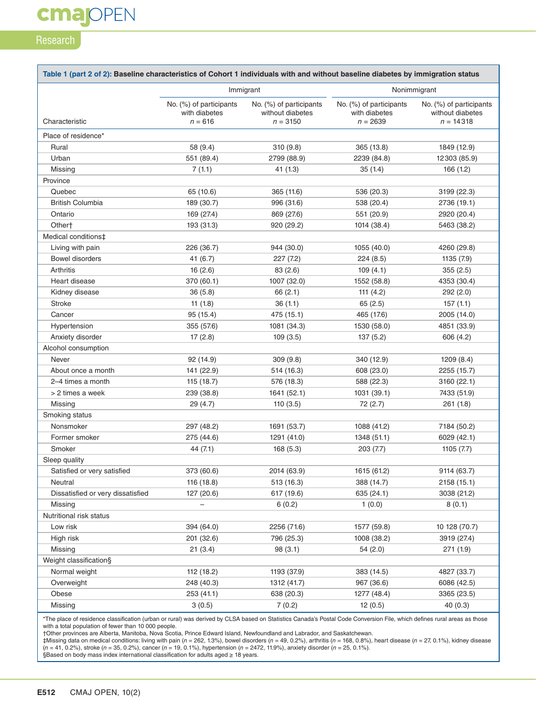### Research

**cmajOPEN** 

| Immigrant<br>No. (%) of participants<br>No. (%) of participants<br>No. (%) of participants<br>No. (%) of participants<br>with diabetes<br>without diabetes<br>with diabetes<br>without diabetes<br>Characteristic<br>$n = 616$<br>$n = 3150$<br>$n = 2639$<br>$n = 14318$<br>Place of residence*<br>58 (9.4)<br>310 (9.8)<br>Rural<br>365 (13.8)<br>1849 (12.9)<br>551 (89.4)<br>Urban<br>2799 (88.9)<br>2239 (84.8)<br>12 303 (85.9)<br>7(1.1)<br>41(1.3)<br>35(1.4)<br>Missing<br>166(1.2)<br>Province<br>Quebec<br>65 (10.6)<br>365 (11.6)<br>536 (20.3)<br>3199 (22.3)<br><b>British Columbia</b><br>189 (30.7)<br>996 (31.6)<br>538 (20.4)<br>2736 (19.1)<br>Ontario<br>169 (27.4)<br>869 (27.6)<br>551 (20.9)<br>2920 (20.4)<br>Other <sup>+</sup><br>193 (31.3)<br>920 (29.2)<br>1014 (38.4)<br>5463 (38.2)<br>Medical conditions‡<br>Living with pain<br>226 (36.7)<br>944 (30.0)<br>1055 (40.0)<br>4260 (29.8)<br><b>Bowel disorders</b><br>41(6.7)<br>227(7.2)<br>224(8.5)<br>1135 (7.9)<br>16(2.6)<br>109(4.1)<br>Arthritis<br>83 (2.6)<br>355(2.5)<br>Heart disease<br>370 (60.1)<br>1007 (32.0)<br>1552 (58.8)<br>4353 (30.4)<br>Kidney disease<br>36(5.8)<br>66 (2.1)<br>111 $(4.2)$<br>292(2.0)<br><b>Stroke</b><br>11(1.8)<br>36(1.1)<br>65(2.5)<br>157(1.1)<br>Cancer<br>95 (15.4)<br>475 (15.1)<br>465 (17.6)<br>2005 (14.0)<br>355 (57.6)<br>1081 (34.3)<br>1530 (58.0)<br>Hypertension<br>4851 (33.9)<br>Anxiety disorder<br>17(2.8)<br>109(3.5)<br>137 (5.2)<br>606 (4.2)<br>Alcohol consumption<br>Never<br>92 (14.9)<br>309(9.8)<br>340 (12.9)<br>1209(8.4)<br>141 (22.9)<br>514 (16.3)<br>608 (23.0)<br>About once a month<br>2255 (15.7)<br>2-4 times a month<br>115 (18.7)<br>588 (22.3)<br>576 (18.3)<br>3160 (22.1)<br>> 2 times a week<br>239 (38.8)<br>1641 (52.1)<br>1031 (39.1)<br>7433 (51.9)<br>Missing<br>29 (4.7)<br>110(3.5)<br>72 (2.7)<br>261 (1.8)<br>Smoking status<br>Nonsmoker<br>297 (48.2)<br>1691 (53.7)<br>1088 (41.2)<br>7184 (50.2)<br>Former smoker<br>275 (44.6)<br>1291 (41.0)<br>1348 (51.1)<br>6029 (42.1)<br>Smoker<br>168 (5.3)<br>44 (7.1)<br>203(7.7)<br>1105(7.7)<br>Sleep quality<br>Satisfied or very satisfied<br>373 (60.6)<br>2014 (63.9)<br>1615 (61.2)<br>9114 (63.7)<br>Neutral<br>388 (14.7)<br>116 (18.8)<br>513 (16.3)<br>2158 (15.1)<br>Dissatisfied or very dissatisfied<br>127 (20.6)<br>617 (19.6)<br>635 (24.1)<br>3038 (21.2)<br>Missing<br>6(0.2)<br>1(0.0)<br>8(0.1)<br>Nutritional risk status<br>Low risk<br>394 (64.0)<br>2256 (71.6)<br>1577 (59.8)<br>10 128 (70.7)<br>High risk<br>201 (32.6)<br>796 (25.3)<br>1008 (38.2)<br>3919 (27.4) | Nonimmigrant |  |  |
|-------------------------------------------------------------------------------------------------------------------------------------------------------------------------------------------------------------------------------------------------------------------------------------------------------------------------------------------------------------------------------------------------------------------------------------------------------------------------------------------------------------------------------------------------------------------------------------------------------------------------------------------------------------------------------------------------------------------------------------------------------------------------------------------------------------------------------------------------------------------------------------------------------------------------------------------------------------------------------------------------------------------------------------------------------------------------------------------------------------------------------------------------------------------------------------------------------------------------------------------------------------------------------------------------------------------------------------------------------------------------------------------------------------------------------------------------------------------------------------------------------------------------------------------------------------------------------------------------------------------------------------------------------------------------------------------------------------------------------------------------------------------------------------------------------------------------------------------------------------------------------------------------------------------------------------------------------------------------------------------------------------------------------------------------------------------------------------------------------------------------------------------------------------------------------------------------------------------------------------------------------------------------------------------------------------------------------------------------------------------------------------------------------------------------------------------------------------------------------------------------------------------------------------------------------------------------------------------------------------------------------|--------------|--|--|
|                                                                                                                                                                                                                                                                                                                                                                                                                                                                                                                                                                                                                                                                                                                                                                                                                                                                                                                                                                                                                                                                                                                                                                                                                                                                                                                                                                                                                                                                                                                                                                                                                                                                                                                                                                                                                                                                                                                                                                                                                                                                                                                                                                                                                                                                                                                                                                                                                                                                                                                                                                                                                               |              |  |  |
|                                                                                                                                                                                                                                                                                                                                                                                                                                                                                                                                                                                                                                                                                                                                                                                                                                                                                                                                                                                                                                                                                                                                                                                                                                                                                                                                                                                                                                                                                                                                                                                                                                                                                                                                                                                                                                                                                                                                                                                                                                                                                                                                                                                                                                                                                                                                                                                                                                                                                                                                                                                                                               |              |  |  |
|                                                                                                                                                                                                                                                                                                                                                                                                                                                                                                                                                                                                                                                                                                                                                                                                                                                                                                                                                                                                                                                                                                                                                                                                                                                                                                                                                                                                                                                                                                                                                                                                                                                                                                                                                                                                                                                                                                                                                                                                                                                                                                                                                                                                                                                                                                                                                                                                                                                                                                                                                                                                                               |              |  |  |
|                                                                                                                                                                                                                                                                                                                                                                                                                                                                                                                                                                                                                                                                                                                                                                                                                                                                                                                                                                                                                                                                                                                                                                                                                                                                                                                                                                                                                                                                                                                                                                                                                                                                                                                                                                                                                                                                                                                                                                                                                                                                                                                                                                                                                                                                                                                                                                                                                                                                                                                                                                                                                               |              |  |  |
|                                                                                                                                                                                                                                                                                                                                                                                                                                                                                                                                                                                                                                                                                                                                                                                                                                                                                                                                                                                                                                                                                                                                                                                                                                                                                                                                                                                                                                                                                                                                                                                                                                                                                                                                                                                                                                                                                                                                                                                                                                                                                                                                                                                                                                                                                                                                                                                                                                                                                                                                                                                                                               |              |  |  |
|                                                                                                                                                                                                                                                                                                                                                                                                                                                                                                                                                                                                                                                                                                                                                                                                                                                                                                                                                                                                                                                                                                                                                                                                                                                                                                                                                                                                                                                                                                                                                                                                                                                                                                                                                                                                                                                                                                                                                                                                                                                                                                                                                                                                                                                                                                                                                                                                                                                                                                                                                                                                                               |              |  |  |
|                                                                                                                                                                                                                                                                                                                                                                                                                                                                                                                                                                                                                                                                                                                                                                                                                                                                                                                                                                                                                                                                                                                                                                                                                                                                                                                                                                                                                                                                                                                                                                                                                                                                                                                                                                                                                                                                                                                                                                                                                                                                                                                                                                                                                                                                                                                                                                                                                                                                                                                                                                                                                               |              |  |  |
|                                                                                                                                                                                                                                                                                                                                                                                                                                                                                                                                                                                                                                                                                                                                                                                                                                                                                                                                                                                                                                                                                                                                                                                                                                                                                                                                                                                                                                                                                                                                                                                                                                                                                                                                                                                                                                                                                                                                                                                                                                                                                                                                                                                                                                                                                                                                                                                                                                                                                                                                                                                                                               |              |  |  |
|                                                                                                                                                                                                                                                                                                                                                                                                                                                                                                                                                                                                                                                                                                                                                                                                                                                                                                                                                                                                                                                                                                                                                                                                                                                                                                                                                                                                                                                                                                                                                                                                                                                                                                                                                                                                                                                                                                                                                                                                                                                                                                                                                                                                                                                                                                                                                                                                                                                                                                                                                                                                                               |              |  |  |
|                                                                                                                                                                                                                                                                                                                                                                                                                                                                                                                                                                                                                                                                                                                                                                                                                                                                                                                                                                                                                                                                                                                                                                                                                                                                                                                                                                                                                                                                                                                                                                                                                                                                                                                                                                                                                                                                                                                                                                                                                                                                                                                                                                                                                                                                                                                                                                                                                                                                                                                                                                                                                               |              |  |  |
|                                                                                                                                                                                                                                                                                                                                                                                                                                                                                                                                                                                                                                                                                                                                                                                                                                                                                                                                                                                                                                                                                                                                                                                                                                                                                                                                                                                                                                                                                                                                                                                                                                                                                                                                                                                                                                                                                                                                                                                                                                                                                                                                                                                                                                                                                                                                                                                                                                                                                                                                                                                                                               |              |  |  |
|                                                                                                                                                                                                                                                                                                                                                                                                                                                                                                                                                                                                                                                                                                                                                                                                                                                                                                                                                                                                                                                                                                                                                                                                                                                                                                                                                                                                                                                                                                                                                                                                                                                                                                                                                                                                                                                                                                                                                                                                                                                                                                                                                                                                                                                                                                                                                                                                                                                                                                                                                                                                                               |              |  |  |
|                                                                                                                                                                                                                                                                                                                                                                                                                                                                                                                                                                                                                                                                                                                                                                                                                                                                                                                                                                                                                                                                                                                                                                                                                                                                                                                                                                                                                                                                                                                                                                                                                                                                                                                                                                                                                                                                                                                                                                                                                                                                                                                                                                                                                                                                                                                                                                                                                                                                                                                                                                                                                               |              |  |  |
|                                                                                                                                                                                                                                                                                                                                                                                                                                                                                                                                                                                                                                                                                                                                                                                                                                                                                                                                                                                                                                                                                                                                                                                                                                                                                                                                                                                                                                                                                                                                                                                                                                                                                                                                                                                                                                                                                                                                                                                                                                                                                                                                                                                                                                                                                                                                                                                                                                                                                                                                                                                                                               |              |  |  |
|                                                                                                                                                                                                                                                                                                                                                                                                                                                                                                                                                                                                                                                                                                                                                                                                                                                                                                                                                                                                                                                                                                                                                                                                                                                                                                                                                                                                                                                                                                                                                                                                                                                                                                                                                                                                                                                                                                                                                                                                                                                                                                                                                                                                                                                                                                                                                                                                                                                                                                                                                                                                                               |              |  |  |
|                                                                                                                                                                                                                                                                                                                                                                                                                                                                                                                                                                                                                                                                                                                                                                                                                                                                                                                                                                                                                                                                                                                                                                                                                                                                                                                                                                                                                                                                                                                                                                                                                                                                                                                                                                                                                                                                                                                                                                                                                                                                                                                                                                                                                                                                                                                                                                                                                                                                                                                                                                                                                               |              |  |  |
|                                                                                                                                                                                                                                                                                                                                                                                                                                                                                                                                                                                                                                                                                                                                                                                                                                                                                                                                                                                                                                                                                                                                                                                                                                                                                                                                                                                                                                                                                                                                                                                                                                                                                                                                                                                                                                                                                                                                                                                                                                                                                                                                                                                                                                                                                                                                                                                                                                                                                                                                                                                                                               |              |  |  |
|                                                                                                                                                                                                                                                                                                                                                                                                                                                                                                                                                                                                                                                                                                                                                                                                                                                                                                                                                                                                                                                                                                                                                                                                                                                                                                                                                                                                                                                                                                                                                                                                                                                                                                                                                                                                                                                                                                                                                                                                                                                                                                                                                                                                                                                                                                                                                                                                                                                                                                                                                                                                                               |              |  |  |
|                                                                                                                                                                                                                                                                                                                                                                                                                                                                                                                                                                                                                                                                                                                                                                                                                                                                                                                                                                                                                                                                                                                                                                                                                                                                                                                                                                                                                                                                                                                                                                                                                                                                                                                                                                                                                                                                                                                                                                                                                                                                                                                                                                                                                                                                                                                                                                                                                                                                                                                                                                                                                               |              |  |  |
|                                                                                                                                                                                                                                                                                                                                                                                                                                                                                                                                                                                                                                                                                                                                                                                                                                                                                                                                                                                                                                                                                                                                                                                                                                                                                                                                                                                                                                                                                                                                                                                                                                                                                                                                                                                                                                                                                                                                                                                                                                                                                                                                                                                                                                                                                                                                                                                                                                                                                                                                                                                                                               |              |  |  |
|                                                                                                                                                                                                                                                                                                                                                                                                                                                                                                                                                                                                                                                                                                                                                                                                                                                                                                                                                                                                                                                                                                                                                                                                                                                                                                                                                                                                                                                                                                                                                                                                                                                                                                                                                                                                                                                                                                                                                                                                                                                                                                                                                                                                                                                                                                                                                                                                                                                                                                                                                                                                                               |              |  |  |
|                                                                                                                                                                                                                                                                                                                                                                                                                                                                                                                                                                                                                                                                                                                                                                                                                                                                                                                                                                                                                                                                                                                                                                                                                                                                                                                                                                                                                                                                                                                                                                                                                                                                                                                                                                                                                                                                                                                                                                                                                                                                                                                                                                                                                                                                                                                                                                                                                                                                                                                                                                                                                               |              |  |  |
|                                                                                                                                                                                                                                                                                                                                                                                                                                                                                                                                                                                                                                                                                                                                                                                                                                                                                                                                                                                                                                                                                                                                                                                                                                                                                                                                                                                                                                                                                                                                                                                                                                                                                                                                                                                                                                                                                                                                                                                                                                                                                                                                                                                                                                                                                                                                                                                                                                                                                                                                                                                                                               |              |  |  |
|                                                                                                                                                                                                                                                                                                                                                                                                                                                                                                                                                                                                                                                                                                                                                                                                                                                                                                                                                                                                                                                                                                                                                                                                                                                                                                                                                                                                                                                                                                                                                                                                                                                                                                                                                                                                                                                                                                                                                                                                                                                                                                                                                                                                                                                                                                                                                                                                                                                                                                                                                                                                                               |              |  |  |
|                                                                                                                                                                                                                                                                                                                                                                                                                                                                                                                                                                                                                                                                                                                                                                                                                                                                                                                                                                                                                                                                                                                                                                                                                                                                                                                                                                                                                                                                                                                                                                                                                                                                                                                                                                                                                                                                                                                                                                                                                                                                                                                                                                                                                                                                                                                                                                                                                                                                                                                                                                                                                               |              |  |  |
|                                                                                                                                                                                                                                                                                                                                                                                                                                                                                                                                                                                                                                                                                                                                                                                                                                                                                                                                                                                                                                                                                                                                                                                                                                                                                                                                                                                                                                                                                                                                                                                                                                                                                                                                                                                                                                                                                                                                                                                                                                                                                                                                                                                                                                                                                                                                                                                                                                                                                                                                                                                                                               |              |  |  |
|                                                                                                                                                                                                                                                                                                                                                                                                                                                                                                                                                                                                                                                                                                                                                                                                                                                                                                                                                                                                                                                                                                                                                                                                                                                                                                                                                                                                                                                                                                                                                                                                                                                                                                                                                                                                                                                                                                                                                                                                                                                                                                                                                                                                                                                                                                                                                                                                                                                                                                                                                                                                                               |              |  |  |
|                                                                                                                                                                                                                                                                                                                                                                                                                                                                                                                                                                                                                                                                                                                                                                                                                                                                                                                                                                                                                                                                                                                                                                                                                                                                                                                                                                                                                                                                                                                                                                                                                                                                                                                                                                                                                                                                                                                                                                                                                                                                                                                                                                                                                                                                                                                                                                                                                                                                                                                                                                                                                               |              |  |  |
|                                                                                                                                                                                                                                                                                                                                                                                                                                                                                                                                                                                                                                                                                                                                                                                                                                                                                                                                                                                                                                                                                                                                                                                                                                                                                                                                                                                                                                                                                                                                                                                                                                                                                                                                                                                                                                                                                                                                                                                                                                                                                                                                                                                                                                                                                                                                                                                                                                                                                                                                                                                                                               |              |  |  |
|                                                                                                                                                                                                                                                                                                                                                                                                                                                                                                                                                                                                                                                                                                                                                                                                                                                                                                                                                                                                                                                                                                                                                                                                                                                                                                                                                                                                                                                                                                                                                                                                                                                                                                                                                                                                                                                                                                                                                                                                                                                                                                                                                                                                                                                                                                                                                                                                                                                                                                                                                                                                                               |              |  |  |
|                                                                                                                                                                                                                                                                                                                                                                                                                                                                                                                                                                                                                                                                                                                                                                                                                                                                                                                                                                                                                                                                                                                                                                                                                                                                                                                                                                                                                                                                                                                                                                                                                                                                                                                                                                                                                                                                                                                                                                                                                                                                                                                                                                                                                                                                                                                                                                                                                                                                                                                                                                                                                               |              |  |  |
|                                                                                                                                                                                                                                                                                                                                                                                                                                                                                                                                                                                                                                                                                                                                                                                                                                                                                                                                                                                                                                                                                                                                                                                                                                                                                                                                                                                                                                                                                                                                                                                                                                                                                                                                                                                                                                                                                                                                                                                                                                                                                                                                                                                                                                                                                                                                                                                                                                                                                                                                                                                                                               |              |  |  |
|                                                                                                                                                                                                                                                                                                                                                                                                                                                                                                                                                                                                                                                                                                                                                                                                                                                                                                                                                                                                                                                                                                                                                                                                                                                                                                                                                                                                                                                                                                                                                                                                                                                                                                                                                                                                                                                                                                                                                                                                                                                                                                                                                                                                                                                                                                                                                                                                                                                                                                                                                                                                                               |              |  |  |
|                                                                                                                                                                                                                                                                                                                                                                                                                                                                                                                                                                                                                                                                                                                                                                                                                                                                                                                                                                                                                                                                                                                                                                                                                                                                                                                                                                                                                                                                                                                                                                                                                                                                                                                                                                                                                                                                                                                                                                                                                                                                                                                                                                                                                                                                                                                                                                                                                                                                                                                                                                                                                               |              |  |  |
|                                                                                                                                                                                                                                                                                                                                                                                                                                                                                                                                                                                                                                                                                                                                                                                                                                                                                                                                                                                                                                                                                                                                                                                                                                                                                                                                                                                                                                                                                                                                                                                                                                                                                                                                                                                                                                                                                                                                                                                                                                                                                                                                                                                                                                                                                                                                                                                                                                                                                                                                                                                                                               |              |  |  |
|                                                                                                                                                                                                                                                                                                                                                                                                                                                                                                                                                                                                                                                                                                                                                                                                                                                                                                                                                                                                                                                                                                                                                                                                                                                                                                                                                                                                                                                                                                                                                                                                                                                                                                                                                                                                                                                                                                                                                                                                                                                                                                                                                                                                                                                                                                                                                                                                                                                                                                                                                                                                                               |              |  |  |
|                                                                                                                                                                                                                                                                                                                                                                                                                                                                                                                                                                                                                                                                                                                                                                                                                                                                                                                                                                                                                                                                                                                                                                                                                                                                                                                                                                                                                                                                                                                                                                                                                                                                                                                                                                                                                                                                                                                                                                                                                                                                                                                                                                                                                                                                                                                                                                                                                                                                                                                                                                                                                               |              |  |  |
|                                                                                                                                                                                                                                                                                                                                                                                                                                                                                                                                                                                                                                                                                                                                                                                                                                                                                                                                                                                                                                                                                                                                                                                                                                                                                                                                                                                                                                                                                                                                                                                                                                                                                                                                                                                                                                                                                                                                                                                                                                                                                                                                                                                                                                                                                                                                                                                                                                                                                                                                                                                                                               |              |  |  |
|                                                                                                                                                                                                                                                                                                                                                                                                                                                                                                                                                                                                                                                                                                                                                                                                                                                                                                                                                                                                                                                                                                                                                                                                                                                                                                                                                                                                                                                                                                                                                                                                                                                                                                                                                                                                                                                                                                                                                                                                                                                                                                                                                                                                                                                                                                                                                                                                                                                                                                                                                                                                                               |              |  |  |
| Missing<br>21(3.4)<br>54 (2.0)<br>98 (3.1)<br>271 (1.9)                                                                                                                                                                                                                                                                                                                                                                                                                                                                                                                                                                                                                                                                                                                                                                                                                                                                                                                                                                                                                                                                                                                                                                                                                                                                                                                                                                                                                                                                                                                                                                                                                                                                                                                                                                                                                                                                                                                                                                                                                                                                                                                                                                                                                                                                                                                                                                                                                                                                                                                                                                       |              |  |  |
| Weight classification§                                                                                                                                                                                                                                                                                                                                                                                                                                                                                                                                                                                                                                                                                                                                                                                                                                                                                                                                                                                                                                                                                                                                                                                                                                                                                                                                                                                                                                                                                                                                                                                                                                                                                                                                                                                                                                                                                                                                                                                                                                                                                                                                                                                                                                                                                                                                                                                                                                                                                                                                                                                                        |              |  |  |
| Normal weight<br>112 (18.2)<br>1193 (37.9)<br>383 (14.5)<br>4827 (33.7)                                                                                                                                                                                                                                                                                                                                                                                                                                                                                                                                                                                                                                                                                                                                                                                                                                                                                                                                                                                                                                                                                                                                                                                                                                                                                                                                                                                                                                                                                                                                                                                                                                                                                                                                                                                                                                                                                                                                                                                                                                                                                                                                                                                                                                                                                                                                                                                                                                                                                                                                                       |              |  |  |
| Overweight<br>248 (40.3)<br>1312 (41.7)<br>967 (36.6)<br>6086 (42.5)                                                                                                                                                                                                                                                                                                                                                                                                                                                                                                                                                                                                                                                                                                                                                                                                                                                                                                                                                                                                                                                                                                                                                                                                                                                                                                                                                                                                                                                                                                                                                                                                                                                                                                                                                                                                                                                                                                                                                                                                                                                                                                                                                                                                                                                                                                                                                                                                                                                                                                                                                          |              |  |  |
| Obese<br>253 (41.1)<br>638 (20.3)<br>1277 (48.4)<br>3365 (23.5)                                                                                                                                                                                                                                                                                                                                                                                                                                                                                                                                                                                                                                                                                                                                                                                                                                                                                                                                                                                                                                                                                                                                                                                                                                                                                                                                                                                                                                                                                                                                                                                                                                                                                                                                                                                                                                                                                                                                                                                                                                                                                                                                                                                                                                                                                                                                                                                                                                                                                                                                                               |              |  |  |
| Missing<br>7(0.2)<br>40(0.3)<br>3(0.5)<br>12(0.5)                                                                                                                                                                                                                                                                                                                                                                                                                                                                                                                                                                                                                                                                                                                                                                                                                                                                                                                                                                                                                                                                                                                                                                                                                                                                                                                                                                                                                                                                                                                                                                                                                                                                                                                                                                                                                                                                                                                                                                                                                                                                                                                                                                                                                                                                                                                                                                                                                                                                                                                                                                             |              |  |  |

\*The place of residence classification (urban or rural) was derived by CLSA based on Statistics Canada's Postal Code Conversion File, which defines rural areas as those with a total population of fewer than 10 000 people.

†Other provinces are Alberta, Manitoba, Nova Scotia, Prince Edward Island, Newfoundland and Labrador, and Saskatchewan.

‡Missing data on medical conditions: living with pain (*n* = 262, 1.3%), bowel disorders (*n* = 49, 0.2%), arthritis (*n* = 168, 0.8%), heart disease (*n* = 27, 0.1%), kidney disease (*n* = 41, 0.2%), stroke (*n* = 35, 0.2%), cancer (*n* = 19, 0.1%), hypertension (*n* = 2472, 11.9%), anxiety disorder (*n* = 25, 0.1%).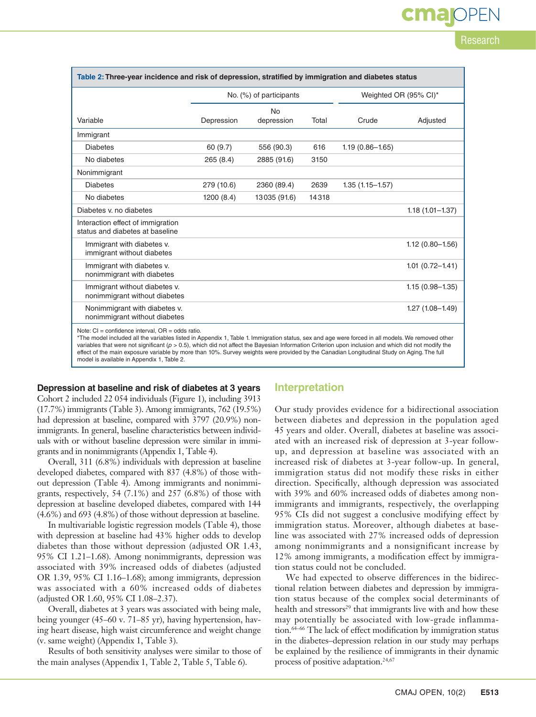| Table 2: Three-year incidence and risk of depression, stratified by immigration and diabetes status                                                                                                                                                                                                                                                               |                         |              |       |                       |                     |  |
|-------------------------------------------------------------------------------------------------------------------------------------------------------------------------------------------------------------------------------------------------------------------------------------------------------------------------------------------------------------------|-------------------------|--------------|-------|-----------------------|---------------------|--|
|                                                                                                                                                                                                                                                                                                                                                                   | No. (%) of participants |              |       | Weighted OR (95% CI)* |                     |  |
|                                                                                                                                                                                                                                                                                                                                                                   |                         | <b>No</b>    |       |                       |                     |  |
| Variable                                                                                                                                                                                                                                                                                                                                                          | Depression              | depression   | Total | Crude                 | Adjusted            |  |
| Immigrant                                                                                                                                                                                                                                                                                                                                                         |                         |              |       |                       |                     |  |
| <b>Diabetes</b>                                                                                                                                                                                                                                                                                                                                                   | 60 (9.7)                | 556 (90.3)   | 616   | $1.19(0.86 - 1.65)$   |                     |  |
| No diabetes                                                                                                                                                                                                                                                                                                                                                       | 265 (8.4)               | 2885 (91.6)  | 3150  |                       |                     |  |
| Nonimmigrant                                                                                                                                                                                                                                                                                                                                                      |                         |              |       |                       |                     |  |
| <b>Diabetes</b>                                                                                                                                                                                                                                                                                                                                                   | 279 (10.6)              | 2360 (89.4)  | 2639  | $1.35(1.15 - 1.57)$   |                     |  |
| No diabetes                                                                                                                                                                                                                                                                                                                                                       | 1200(8.4)               | 13035 (91.6) | 14318 |                       |                     |  |
| Diabetes y, no diabetes                                                                                                                                                                                                                                                                                                                                           |                         |              |       |                       | $1.18(1.01 - 1.37)$ |  |
| Interaction effect of immigration<br>status and diabetes at baseline                                                                                                                                                                                                                                                                                              |                         |              |       |                       |                     |  |
| Immigrant with diabetes v.<br>immigrant without diabetes                                                                                                                                                                                                                                                                                                          |                         |              |       |                       | $1.12(0.80 - 1.56)$ |  |
| Immigrant with diabetes v.<br>nonimmigrant with diabetes                                                                                                                                                                                                                                                                                                          |                         |              |       |                       | $1.01(0.72 - 1.41)$ |  |
| Immigrant without diabetes v.<br>nonimmigrant without diabetes                                                                                                                                                                                                                                                                                                    |                         |              |       |                       | $1.15(0.98 - 1.35)$ |  |
| Nonimmigrant with diabetes v.<br>nonimmigrant without diabetes                                                                                                                                                                                                                                                                                                    |                         |              |       |                       | $1.27(1.08 - 1.49)$ |  |
| Note: $CI = confidence$ interval, $OR = odds$ ratio.<br>*The model included all the variables listed in Appendix 1, Table 1. Immigration status, sex and age were forced in all models. We removed other<br>variables that were not significant $(n \le 0.5)$ which did not affect the Bayesian Information Criterion upon inclusion and which did not modify the |                         |              |       |                       |                     |  |

variables that were not significant (*p* > 0.5), which did not affect the Bayesian Information Criterion upon inclusion and which did not modify the effect of the main exposure variable by more than 10%. Survey weights were provided by the Canadian Longitudinal Study on Aging. The full model is available in Appendix 1, Table 2.

#### **Depression at baseline and risk of diabetes at 3 years**

Cohort 2 included 22 054 individuals (Figure 1), including 3913 (17.7%) immigrants (Table 3). Among immigrants, 762 (19.5%) had depression at baseline, compared with 3797 (20.9%) nonimmigrants. In general, baseline characteristics between individuals with or without baseline depression were similar in immigrants and in nonimmigrants (Appendix 1, Table 4).

Overall, 311 (6.8%) individuals with depression at baseline developed diabetes, compared with 837 (4.8%) of those without depression (Table 4). Among immigrants and nonimmigrants, respectively, 54 (7.1%) and 257 (6.8%) of those with depression at baseline developed diabetes, compared with 144 (4.6%) and 693 (4.8%) of those without depression at baseline.

In multivariable logistic regression models (Table 4), those with depression at baseline had 43% higher odds to develop diabetes than those without depression (adjusted OR 1.43, 95% CI 1.21–1.68). Among nonimmigrants, depression was associated with 39% increased odds of diabetes (adjusted OR 1.39, 95% CI 1.16–1.68); among immigrants, depression was associated with a 60% increased odds of diabetes (adjusted OR 1.60, 95% CI 1.08–2.37).

Overall, diabetes at 3 years was associated with being male, being younger (45–60 v. 71–85 yr), having hypertension, having heart disease, high waist circumference and weight change (v. same weight) (Appendix 1, Table 3).

Results of both sensitivity analyses were similar to those of the main analyses (Appendix 1, Table 2, Table 5, Table 6).

#### **Interpretation**

Our study provides evidence for a bidirectional association between diabetes and depression in the population aged 45 years and older. Overall, diabetes at baseline was associated with an increased risk of depression at 3-year followup, and depression at baseline was associated with an increased risk of diabetes at 3-year follow-up. In general, immigration status did not modify these risks in either direction. Specifically, although depression was associated with 39% and 60% increased odds of diabetes among nonimmigrants and immigrants, respectively, the overlapping 95% CIs did not suggest a conclusive modifying effect by immigration status. Moreover, although diabetes at baseline was associated with 27% increased odds of depression among nonimmigrants and a nonsignificant increase by 12% among immigrants, a modification effect by immigration status could not be concluded.

We had expected to observe differences in the bidirectional relation between diabetes and depression by immigration status because of the complex social determinants of health and stressors<sup>29</sup> that immigrants live with and how these may potentially be associated with low-grade inflammation.64–66 The lack of effect modification by immigration status in the diabetes–depression relation in our study may perhaps be explained by the resilience of immigrants in their dynamic process of positive adaptation.<sup>24,67</sup>

Research

**cma** OPEN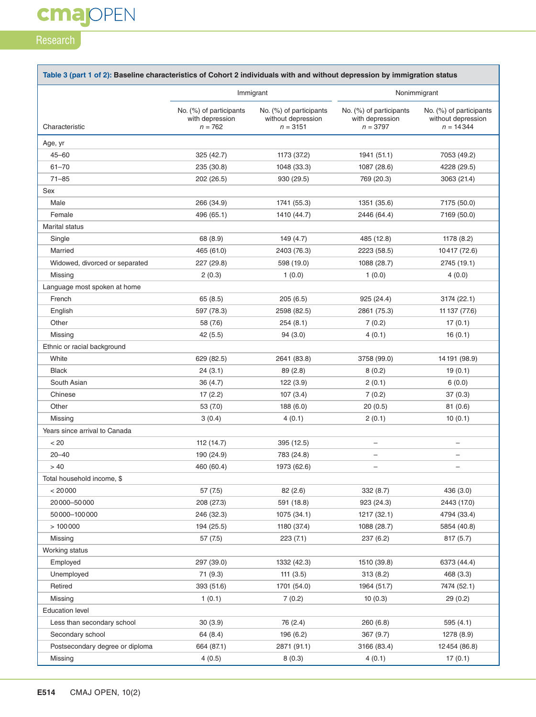## **cmajOPEN**

### **Research**

| Table 3 (part 1 of 2): Baseline characteristics of Cohort 2 individuals with and without depression by immigration status |                                                         |                                                             |                                                          |                                                              |  |  |
|---------------------------------------------------------------------------------------------------------------------------|---------------------------------------------------------|-------------------------------------------------------------|----------------------------------------------------------|--------------------------------------------------------------|--|--|
|                                                                                                                           |                                                         | Immigrant                                                   | Nonimmigrant                                             |                                                              |  |  |
| Characteristic                                                                                                            | No. (%) of participants<br>with depression<br>$n = 762$ | No. (%) of participants<br>without depression<br>$n = 3151$ | No. (%) of participants<br>with depression<br>$n = 3797$ | No. (%) of participants<br>without depression<br>$n = 14344$ |  |  |
|                                                                                                                           |                                                         |                                                             |                                                          |                                                              |  |  |
| Age, yr<br>$45 - 60$                                                                                                      |                                                         |                                                             |                                                          |                                                              |  |  |
|                                                                                                                           | 325(42.7)                                               | 1173 (37.2)                                                 | 1941 (51.1)                                              | 7053 (49.2)                                                  |  |  |
| $61 - 70$<br>$71 - 85$                                                                                                    | 235 (30.8)                                              | 1048 (33.3)                                                 | 1087 (28.6)                                              | 4228 (29.5)                                                  |  |  |
|                                                                                                                           | 202 (26.5)                                              | 930 (29.5)                                                  | 769 (20.3)                                               | 3063 (21.4)                                                  |  |  |
| Sex                                                                                                                       |                                                         |                                                             |                                                          |                                                              |  |  |
| Male                                                                                                                      | 266 (34.9)                                              | 1741 (55.3)                                                 | 1351 (35.6)                                              | 7175 (50.0)                                                  |  |  |
| Female                                                                                                                    | 496 (65.1)                                              | 1410 (44.7)                                                 | 2446 (64.4)                                              | 7169 (50.0)                                                  |  |  |
| <b>Marital status</b>                                                                                                     |                                                         |                                                             |                                                          |                                                              |  |  |
| Single                                                                                                                    | 68 (8.9)                                                | 149 (4.7)                                                   | 485 (12.8)                                               | 1178 (8.2)                                                   |  |  |
| Married                                                                                                                   | 465 (61.0)                                              | 2403 (76.3)                                                 | 2223 (58.5)                                              | 10417 (72.6)                                                 |  |  |
| Widowed, divorced or separated                                                                                            | 227 (29.8)                                              | 598 (19.0)                                                  | 1088 (28.7)                                              | 2745 (19.1)                                                  |  |  |
| Missing                                                                                                                   | 2(0.3)                                                  | 1(0.0)                                                      | 1(0.0)                                                   | 4(0.0)                                                       |  |  |
| Language most spoken at home                                                                                              |                                                         |                                                             |                                                          |                                                              |  |  |
| French                                                                                                                    | 65(8.5)                                                 | 205(6.5)                                                    | 925 (24.4)                                               | 3174 (22.1)                                                  |  |  |
| English                                                                                                                   | 597 (78.3)                                              | 2598 (82.5)                                                 | 2861 (75.3)                                              | 11 137 (77.6)                                                |  |  |
| Other                                                                                                                     | 58 (7.6)                                                | 254(8.1)                                                    | 7(0.2)                                                   | 17(0.1)                                                      |  |  |
| Missing                                                                                                                   | 42(5.5)                                                 | 94 (3.0)                                                    | 4(0.1)                                                   | 16(0.1)                                                      |  |  |
| Ethnic or racial background                                                                                               |                                                         |                                                             |                                                          |                                                              |  |  |
| White                                                                                                                     | 629 (82.5)                                              | 2641 (83.8)                                                 | 3758 (99.0)                                              | 14 191 (98.9)                                                |  |  |
| <b>Black</b>                                                                                                              | 24(3.1)                                                 | 89 (2.8)                                                    | 8(0.2)                                                   | 19(0.1)                                                      |  |  |
| South Asian                                                                                                               | 36 (4.7)                                                | 122(3.9)                                                    | 2(0.1)                                                   | 6(0.0)                                                       |  |  |
| Chinese                                                                                                                   | 17(2.2)                                                 | 107(3.4)                                                    | 7(0.2)                                                   | 37(0.3)                                                      |  |  |
| Other                                                                                                                     | 53 (7.0)                                                | 188 (6.0)                                                   | 20(0.5)                                                  | 81(0.6)                                                      |  |  |
| Missing                                                                                                                   | 3(0.4)                                                  | 4 (0.1)                                                     | 2(0.1)                                                   | 10(0.1)                                                      |  |  |
| Years since arrival to Canada                                                                                             |                                                         |                                                             |                                                          |                                                              |  |  |
| < 20                                                                                                                      | 112 (14.7)                                              | 395 (12.5)                                                  | $\overline{\phantom{0}}$                                 |                                                              |  |  |
| $20 - 40$                                                                                                                 | 190 (24.9)                                              | 783 (24.8)                                                  | —                                                        |                                                              |  |  |
| >40                                                                                                                       | 460 (60.4)                                              | 1973 (62.6)                                                 | $\qquad \qquad -$                                        |                                                              |  |  |
| Total household income, \$                                                                                                |                                                         |                                                             |                                                          |                                                              |  |  |
| < 20000                                                                                                                   | 57 (7.5)                                                | 82(2.6)                                                     | 332 (8.7)                                                | 436 (3.0)                                                    |  |  |
| 20 000 - 50 000                                                                                                           | 208 (27.3)                                              | 591 (18.8)                                                  | 923 (24.3)                                               | 2443 (17.0)                                                  |  |  |
| 50000-100000                                                                                                              | 246 (32.3)                                              | 1075 (34.1)                                                 | 1217 (32.1)                                              | 4794 (33.4)                                                  |  |  |
| >100000                                                                                                                   | 194 (25.5)                                              | 1180 (37.4)                                                 | 1088 (28.7)                                              | 5854 (40.8)                                                  |  |  |
| Missing                                                                                                                   | 57 (7.5)                                                | 223(7.1)                                                    | 237(6.2)                                                 | 817(5.7)                                                     |  |  |
| Working status                                                                                                            |                                                         |                                                             |                                                          |                                                              |  |  |
| Employed                                                                                                                  | 297 (39.0)                                              | 1332 (42.3)                                                 | 1510 (39.8)                                              | 6373 (44.4)                                                  |  |  |
| Unemployed                                                                                                                | 71 (9.3)                                                | 111(3.5)                                                    | 313(8.2)                                                 | 468 (3.3)                                                    |  |  |
| Retired                                                                                                                   | 393 (51.6)                                              | 1701 (54.0)                                                 | 1964 (51.7)                                              | 7474 (52.1)                                                  |  |  |
| Missing                                                                                                                   | 1(0.1)                                                  | 7(0.2)                                                      | 10(0.3)                                                  | 29(0.2)                                                      |  |  |
| <b>Education level</b>                                                                                                    |                                                         |                                                             |                                                          |                                                              |  |  |
| Less than secondary school                                                                                                | 30(3.9)                                                 | 76 (2.4)                                                    | 260 (6.8)                                                | 595 (4.1)                                                    |  |  |
| Secondary school                                                                                                          | 64 (8.4)                                                | 196 (6.2)                                                   | 367 (9.7)                                                | 1278 (8.9)                                                   |  |  |
| Postsecondary degree or diploma                                                                                           | 664 (87.1)                                              | 2871 (91.1)                                                 | 3166 (83.4)                                              | 12454 (86.8)                                                 |  |  |
| Missing                                                                                                                   | 4(0.5)                                                  | 8(0.3)                                                      | 4(0.1)                                                   | 17(0.1)                                                      |  |  |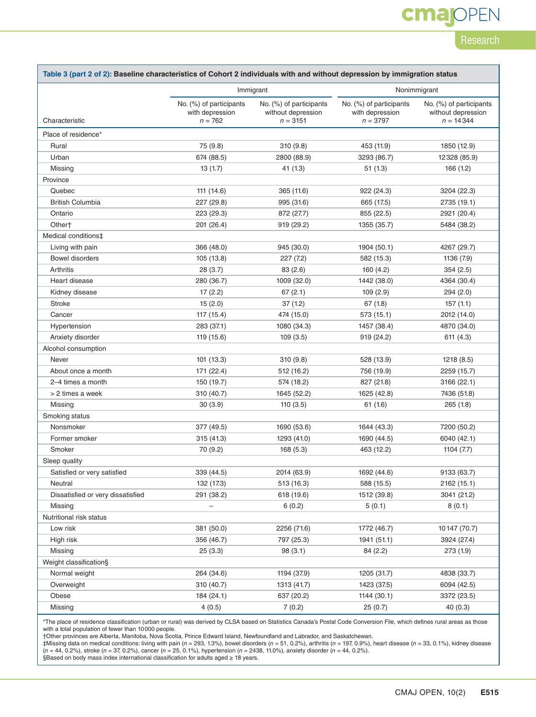## **cmajOPEN**

### Research

┓

| Table 3 (part 2 of 2): Baseline characteristics of Cohort 2 individuals with and without depression by immigration status |                                                         |                                                             |                                                          |                                                              |  |  |  |
|---------------------------------------------------------------------------------------------------------------------------|---------------------------------------------------------|-------------------------------------------------------------|----------------------------------------------------------|--------------------------------------------------------------|--|--|--|
|                                                                                                                           |                                                         | Immigrant                                                   | Nonimmigrant                                             |                                                              |  |  |  |
| Characteristic                                                                                                            | No. (%) of participants<br>with depression<br>$n = 762$ | No. (%) of participants<br>without depression<br>$n = 3151$ | No. (%) of participants<br>with depression<br>$n = 3797$ | No. (%) of participants<br>without depression<br>$n = 14344$ |  |  |  |
| Place of residence*                                                                                                       |                                                         |                                                             |                                                          |                                                              |  |  |  |
| Rural                                                                                                                     | 75 (9.8)                                                | 310(9.8)                                                    | 453 (11.9)                                               | 1850 (12.9)                                                  |  |  |  |
| Urban                                                                                                                     | 674 (88.5)                                              | 2800 (88.9)                                                 | 3293 (86.7)                                              | 12328 (85.9)                                                 |  |  |  |
| Missing                                                                                                                   | 13(1.7)                                                 | 41 (1.3)                                                    | 51(1.3)                                                  | 166 (1.2)                                                    |  |  |  |
| Province                                                                                                                  |                                                         |                                                             |                                                          |                                                              |  |  |  |
| Quebec                                                                                                                    | 111 (14.6)                                              | 365 (11.6)                                                  | 922 (24.3)                                               | 3204 (22.3)                                                  |  |  |  |
| <b>British Columbia</b>                                                                                                   | 227 (29.8)                                              | 995 (31.6)                                                  | 665 (17.5)                                               | 2735 (19.1)                                                  |  |  |  |
| Ontario                                                                                                                   | 223 (29.3)                                              | 872 (27.7)                                                  | 855 (22.5)                                               | 2921 (20.4)                                                  |  |  |  |
| Other†                                                                                                                    | 201 (26.4)                                              | 919 (29.2)                                                  | 1355 (35.7)                                              | 5484 (38.2)                                                  |  |  |  |
| Medical conditions‡                                                                                                       |                                                         |                                                             |                                                          |                                                              |  |  |  |
| Living with pain                                                                                                          | 366 (48.0)                                              | 945 (30.0)                                                  | 1904 (50.1)                                              | 4267 (29.7)                                                  |  |  |  |
| <b>Bowel disorders</b>                                                                                                    | 105 (13.8)                                              | 227(7.2)                                                    | 582 (15.3)                                               | 1136 (7.9)                                                   |  |  |  |
| Arthritis                                                                                                                 | 28(3.7)                                                 | 83(2.6)                                                     | 160(4.2)                                                 | 354(2.5)                                                     |  |  |  |
| Heart disease                                                                                                             | 280 (36.7)                                              | 1009 (32.0)                                                 | 1442 (38.0)                                              | 4364 (30.4)                                                  |  |  |  |
| Kidney disease                                                                                                            | 17(2.2)                                                 | 67(2.1)                                                     | 109 (2.9)                                                | 294(2.0)                                                     |  |  |  |
| <b>Stroke</b>                                                                                                             | 15(2.0)                                                 | 37(1.2)                                                     | 67(1.8)                                                  | 157(1.1)                                                     |  |  |  |
| Cancer                                                                                                                    | 117 (15.4)                                              | 474 (15.0)                                                  | 573(15.1)                                                | 2012 (14.0)                                                  |  |  |  |
| Hypertension                                                                                                              | 283 (37.1)                                              | 1080 (34.3)                                                 | 1457 (38.4)                                              | 4870 (34.0)                                                  |  |  |  |
| Anxiety disorder                                                                                                          | 119 (15.6)                                              | 109(3.5)                                                    | 919 (24.2)                                               | 611 (4.3)                                                    |  |  |  |
| Alcohol consumption                                                                                                       |                                                         |                                                             |                                                          |                                                              |  |  |  |
| Never                                                                                                                     | 101 (13.3)                                              | 310(9.8)                                                    | 528 (13.9)                                               | 1218(8.5)                                                    |  |  |  |
| About once a month                                                                                                        | 171 (22.4)                                              | 512 (16.2)                                                  | 756 (19.9)                                               | 2259 (15.7)                                                  |  |  |  |
| 2-4 times a month                                                                                                         | 150 (19.7)                                              | 574 (18.2)                                                  | 827 (21.8)                                               | 3166 (22.1)                                                  |  |  |  |
| > 2 times a week                                                                                                          | 310 (40.7)                                              | 1645 (52.2)                                                 | 1625 (42.8)                                              | 7436 (51.8)                                                  |  |  |  |
| Missing                                                                                                                   | 30(3.9)                                                 | 110(3.5)                                                    | 61 (1.6)                                                 | 265(1.8)                                                     |  |  |  |
| Smoking status                                                                                                            |                                                         |                                                             |                                                          |                                                              |  |  |  |
| Nonsmoker                                                                                                                 | 377 (49.5)                                              | 1690 (53.6)                                                 | 1644 (43.3)                                              | 7200 (50.2)                                                  |  |  |  |
| Former smoker                                                                                                             | 315 (41.3)                                              | 1293 (41.0)                                                 | 1690 (44.5)                                              | 6040 (42.1)                                                  |  |  |  |
| Smoker                                                                                                                    | 70 (9.2)                                                | 168(5.3)                                                    | 463 (12.2)                                               | 1104(7.7)                                                    |  |  |  |
| Sleep quality                                                                                                             |                                                         |                                                             |                                                          |                                                              |  |  |  |
| Satisfied or very satisfied                                                                                               | 339 (44.5)                                              | 2014 (63.9)                                                 | 1692 (44.6)                                              | 9133 (63.7)                                                  |  |  |  |
| Neutral                                                                                                                   | 132 (17.3)                                              | 513 (16.3)                                                  | 588 (15.5)                                               | 2162 (15.1)                                                  |  |  |  |
| Dissatisfied or very dissatisfied                                                                                         | 291 (38.2)                                              | 618 (19.6)                                                  | 1512 (39.8)                                              | 3041 (21.2)                                                  |  |  |  |
| Missing                                                                                                                   |                                                         | 6(0.2)                                                      | 5(0.1)                                                   | 8(0.1)                                                       |  |  |  |
| Nutritional risk status                                                                                                   |                                                         |                                                             |                                                          |                                                              |  |  |  |
| Low risk                                                                                                                  | 381 (50.0)                                              | 2256 (71.6)                                                 | 1772 (46.7)                                              | 10 147 (70.7)                                                |  |  |  |
| High risk                                                                                                                 | 356 (46.7)                                              | 797 (25.3)                                                  | 1941 (51.1)                                              | 3924 (27.4)                                                  |  |  |  |
| Missing                                                                                                                   | 25(3.3)                                                 | 98 (3.1)                                                    | 84 (2.2)                                                 | 273 (1.9)                                                    |  |  |  |
| Weight classification§                                                                                                    |                                                         |                                                             |                                                          |                                                              |  |  |  |
| Normal weight                                                                                                             | 264 (34.6)                                              | 1194 (37.9)                                                 | 1205 (31.7)                                              | 4838 (33.7)                                                  |  |  |  |
| Overweight                                                                                                                | 310 (40.7)                                              | 1313 (41.7)                                                 | 1423 (37.5)                                              | 6094 (42.5)                                                  |  |  |  |
| Obese                                                                                                                     | 184 (24.1)                                              | 637 (20.2)                                                  | 1144 (30.1)                                              | 3372 (23.5)                                                  |  |  |  |
| Missing                                                                                                                   | 4(0.5)                                                  | 7(0.2)                                                      | 25(0.7)                                                  | 40(0.3)                                                      |  |  |  |

\*The place of residence classification (urban or rural) was derived by CLSA based on Statistics Canada's Postal Code Conversion File, which defines rural areas as those with a total population of fewer than 10000 people.

†Other provinces are Alberta, Manitoba, Nova Scotia, Prince Edward Island, Newfoundland and Labrador, and Saskatchewan.

‡Missing data on medical conditions: living with pain (*n* = 293, 1.3%), bowel disorders (*n* = 51, 0.2%), arthritis (*n* = 197, 0.9%), heart disease (*n* = 33, 0.1%), kidney disease<br>(*n* = 44, 0.2%), stroke (*n* = 37, 0.

Г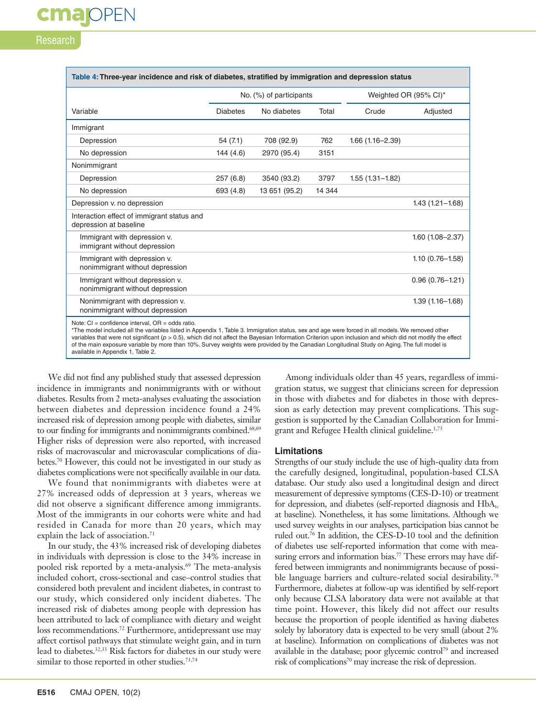## **Research**

**cmajoPEN** 

| Table 4: Three-year incidence and risk of diabetes, stratified by immigration and depression status                                                                                                                                                                                                                                                                                                                                                                                                                                                           |                         |               |        |                       |                     |  |
|---------------------------------------------------------------------------------------------------------------------------------------------------------------------------------------------------------------------------------------------------------------------------------------------------------------------------------------------------------------------------------------------------------------------------------------------------------------------------------------------------------------------------------------------------------------|-------------------------|---------------|--------|-----------------------|---------------------|--|
|                                                                                                                                                                                                                                                                                                                                                                                                                                                                                                                                                               | No. (%) of participants |               |        | Weighted OR (95% CI)* |                     |  |
| Variable                                                                                                                                                                                                                                                                                                                                                                                                                                                                                                                                                      | <b>Diabetes</b>         | No diabetes   | Total  | Crude                 | Adjusted            |  |
| Immigrant                                                                                                                                                                                                                                                                                                                                                                                                                                                                                                                                                     |                         |               |        |                       |                     |  |
| Depression                                                                                                                                                                                                                                                                                                                                                                                                                                                                                                                                                    | 54 (7.1)                | 708 (92.9)    | 762    | $1.66(1.16 - 2.39)$   |                     |  |
| No depression                                                                                                                                                                                                                                                                                                                                                                                                                                                                                                                                                 | 144 (4.6)               | 2970 (95.4)   | 3151   |                       |                     |  |
| Nonimmigrant                                                                                                                                                                                                                                                                                                                                                                                                                                                                                                                                                  |                         |               |        |                       |                     |  |
| Depression                                                                                                                                                                                                                                                                                                                                                                                                                                                                                                                                                    | 257(6.8)                | 3540 (93.2)   | 3797   | $1.55(1.31 - 1.82)$   |                     |  |
| No depression                                                                                                                                                                                                                                                                                                                                                                                                                                                                                                                                                 | 693 (4.8)               | 13 651 (95.2) | 14 344 |                       |                     |  |
| Depression v. no depression                                                                                                                                                                                                                                                                                                                                                                                                                                                                                                                                   |                         |               |        |                       | $1.43(1.21 - 1.68)$ |  |
| Interaction effect of immigrant status and<br>depression at baseline                                                                                                                                                                                                                                                                                                                                                                                                                                                                                          |                         |               |        |                       |                     |  |
| Immigrant with depression v.<br>immigrant without depression                                                                                                                                                                                                                                                                                                                                                                                                                                                                                                  |                         |               |        |                       | $1.60(1.08 - 2.37)$ |  |
| Immigrant with depression v.<br>nonimmigrant without depression                                                                                                                                                                                                                                                                                                                                                                                                                                                                                               |                         |               |        |                       | $1.10(0.76 - 1.58)$ |  |
| Immigrant without depression v.<br>nonimmigrant without depression                                                                                                                                                                                                                                                                                                                                                                                                                                                                                            |                         |               |        |                       | $0.96(0.76 - 1.21)$ |  |
| Nonimmigrant with depression v.<br>nonimmigrant without depression                                                                                                                                                                                                                                                                                                                                                                                                                                                                                            |                         |               |        |                       | $1.39(1.16 - 1.68)$ |  |
| Note: $CI = confidence$ interval, $OR = odds$ ratio.<br>*The model included all the variables listed in Appendix 1, Table 3. Immigration status, sex and age were forced in all models. We removed other<br>variables that were not significant ( $p > 0.5$ ), which did not affect the Bayesian Information Criterion upon inclusion and which did not modify the effect<br>of the main exposure variable by more than 10%. Survey weights were provided by the Canadian Longitudinal Study on Aging. The full model is<br>available in Appendix 1, Table 2. |                         |               |        |                       |                     |  |

We did not find any published study that assessed depression incidence in immigrants and nonimmigrants with or without diabetes. Results from 2 meta-analyses evaluating the association between diabetes and depression incidence found a 24% increased risk of depression among people with diabetes, similar to our finding for immigrants and nonimmigrants combined.<sup>68,69</sup> Higher risks of depression were also reported, with increased risks of macrovascular and microvascular complications of diabetes.70 However, this could not be investigated in our study as diabetes complications were not specifically available in our data.

We found that nonimmigrants with diabetes were at 27% increased odds of depression at 3 years, whereas we did not observe a significant difference among immigrants. Most of the immigrants in our cohorts were white and had resided in Canada for more than 20 years, which may explain the lack of association.<sup>71</sup>

In our study, the 43% increased risk of developing diabetes in individuals with depression is close to the 34% increase in pooled risk reported by a meta-analysis.<sup>69</sup> The meta-analysis included cohort, cross-sectional and case–control studies that considered both prevalent and incident diabetes, in contrast to our study, which considered only incident diabetes. The increased risk of diabetes among people with depression has been attributed to lack of compliance with dietary and weight loss recommendations.72 Furthermore, antidepressant use may affect cortisol pathways that stimulate weight gain, and in turn lead to diabetes.<sup>32,33</sup> Risk factors for diabetes in our study were similar to those reported in other studies.<sup>73,74</sup>

Among individuals older than 45 years, regardless of immigration status, we suggest that clinicians screen for depression in those with diabetes and for diabetes in those with depression as early detection may prevent complications. This suggestion is supported by the Canadian Collaboration for Immigrant and Refugee Health clinical guideline.1,75

#### **Limitations**

Strengths of our study include the use of high-quality data from the carefully designed, longitudinal, population-based CLSA database. Our study also used a longitudinal design and direct measurement of depressive symptoms (CES-D-10) or treatment for depression, and diabetes (self-reported diagnosis and  $HbA_{1c}$ at baseline). Nonetheless, it has some limitations. Although we used survey weights in our analyses, participation bias cannot be ruled out.76 In addition, the CES-D-10 tool and the definition of diabetes use self-reported information that come with measuring errors and information bias.<sup>77</sup> These errors may have differed between immigrants and nonimmigrants because of possible language barriers and culture-related social desirability.<sup>78</sup> Furthermore, diabetes at follow-up was identified by self-report only because CLSA laboratory data were not available at that time point. However, this likely did not affect our results because the proportion of people identified as having diabetes solely by laboratory data is expected to be very small (about 2% at baseline). Information on complications of diabetes was not available in the database; poor glycemic control<sup>79</sup> and increased risk of complications<sup>70</sup> may increase the risk of depression.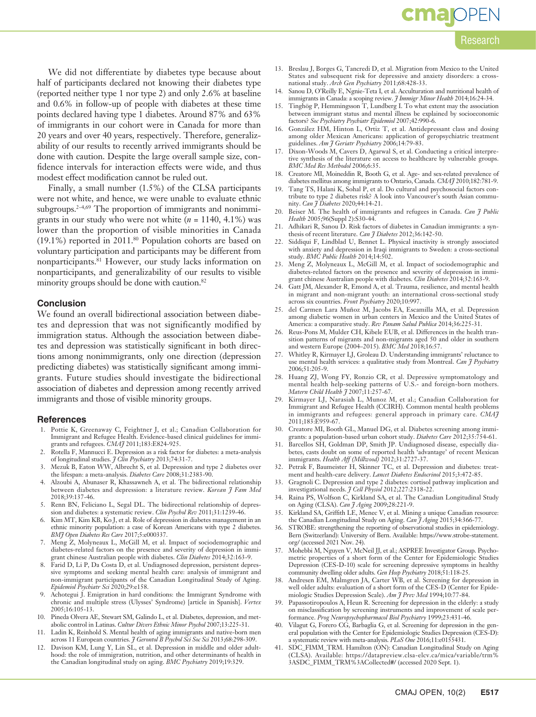## **cmajoPEN**

#### Research

We did not differentiate by diabetes type because about half of participants declared not knowing their diabetes type (reported neither type 1 nor type 2) and only 2.6% at baseline and 0.6% in follow-up of people with diabetes at these time points declared having type 1 diabetes. Around 87% and 63% of immigrants in our cohort were in Canada for more than 20 years and over 40 years, respectively. Therefore, generalizability of our results to recently arrived immigrants should be done with caution. Despite the large overall sample size, confidence intervals for interaction effects were wide, and thus modest effect modification cannot be ruled out.

Finally, a small number (1.5%) of the CLSA participants were not white, and hence, we were unable to evaluate ethnic subgroups. $2-4,69$  The proportion of immigrants and nonimmigrants in our study who were not white  $(n = 1140, 4.1\%)$  was lower than the proportion of visible minorities in Canada (19.1%) reported in 2011.80 Population cohorts are based on voluntary participation and participants may be different from nonparticipants.<sup>81</sup> However, our study lacks information on nonparticipants, and generalizability of our results to visible minority groups should be done with caution.<sup>82</sup>

#### **Conclusion**

We found an overall bidirectional association between diabetes and depression that was not significantly modified by immigration status. Although the association between diabetes and depression was statistically significant in both directions among nonimmigrants, only one direction (depression predicting diabetes) was statistically significant among immigrants. Future studies should investigate the bidirectional association of diabetes and depression among recently arrived immigrants and those of visible minority groups.

#### **References**

- 1. Pottie K, Greenaway C, Feightner J, et al.; Canadian Collaboration for Immigrant and Refugee Health. Evidence-based clinical guidelines for immigrants and refugees. *CMAJ* 2011;183:E824-925.
- Rotella F, Mannucci E. Depression as a risk factor for diabetes: a meta-analysis of longitudinal studies. *J Clin Psychiatry* 2013;74:31-7.
- 3. Mezuk B, Eaton WW, Albrecht S, et al. Depression and type 2 diabetes over the lifespan: a meta-analysis. *Diabetes Care* 2008;31:2383-90.
- 4. Alzoubi A, Abunaser R, Khassawneh A, et al. The bidirectional relationship between diabetes and depression: a literature review. *Korean J Fam Med* 2018;39:137-46.
- 5. Renn BN, Feliciano L, Segal DL. The bidirectional relationship of depression and diabetes: a systematic review. *Clin Psychol Rev* 2011;31:1239-46.
- 6. Kim MT, Kim KB, Ko J, et al. Role of depression in diabetes management in an ethnic minority population: a case of Korean Americans with type 2 diabetes. *BMJ Open Diabetes Res Care* 2017;5:e000337.
- 7. Meng Z, Molyneaux L, McGill M, et al. Impact of sociodemographic and diabetes-related factors on the presence and severity of depression in immigrant chinese Australian people with diabetes. *Clin Diabetes* 2014;32:163-9.
- 8. Farid D, Li P, Da Costa D, et al. Undiagnosed depression, persistent depressive symptoms and seeking mental health care: analysis of immigrant and non-immigrant participants of the Canadian Longitudinal Study of Aging. *Epidemiol Psychiatr Sci* 2020;29:e158.
- 9. Achotegui J. Emigration in hard conditions: the Immigrant Syndrome with chronic and multiple stress (Ulysses' Syndrome) [article in Spanish]. *Vertex* 2005;16:105-13.
- 10. Pineda Olvera AE, Stewart SM, Galindo L, et al. Diabetes, depression, and metabolic control in Latinas. *Cultur Divers Ethnic Minor Psychol* 2007;13:225-31.
- 11. Ladin K, Reinhold S. Mental health of aging immigrants and native-born men across 11 European countries. *J Gerontol B Psychol Sci Soc Sci* 2013;68:298-309.
- Davison KM, Lung Y, Lin SL, et al. Depression in middle and older adulthood: the role of immigration, nutrition, and other determinants of health in the Canadian longitudinal study on aging. *BMC Psychiatry* 2019;19:329.
- 13. Breslau J, Borges G, Tancredi D, et al. Migration from Mexico to the United States and subsequent risk for depressive and anxiety disorders: a crossnational study. *Arch Gen Psychiatry* 2011;68:428-33.
- 14. Sanou D, O'Reilly E, Ngnie-Teta I, et al. Acculturation and nutritional health of immigrants in Canada: a scoping review. *J Immigr Minor Health* 2014;16:24-34.
- 15. Tinghög P, Hemmingsson T, Lundberg I. To what extent may the association between immigrant status and mental illness be explained by socioeconomic factors? *Soc Psychiatry Psychiatr Epidemiol* 2007;42:990-6.
- 16. González HM, Hinton L, Ortiz T, et al. Antidepressant class and dosing among older Mexican Americans: application of geropsychiatric treatment guidelines. *Am J Geriatr Psychiatry* 2006;14:79-83.
- 17. Dixon-Woods M, Cavers D, Agarwal S, et al. Conducting a critical interpretive synthesis of the literature on access to healthcare by vulnerable groups. *BMC Med Res Methodol* 2006;6:35.
- 18. Creatore MI, Moineddin R, Booth G, et al. Age- and sex-related prevalence of diabetes mellitus among immigrants to Ontario, Canada. *CMAJ* 2010;182:781-9.
- 19. Tang TS, Halani K, Sohal P, et al. Do cultural and psychosocial factors contribute to type 2 diabetes risk? A look into Vancouver's south Asian community. *Can J Diabetes* 2020;44:14-21.
- 20. Beiser M. The health of immigrants and refugees in Canada. *Can J Public Health* 2005;96(Suppl 2):S30-44.
- 21. Adhikari R, Sanou D. Risk factors of diabetes in Canadian immigrants: a synthesis of recent literature. *Can J Diabetes* 2012;36:142-50.
- 22. Siddiqui F, Lindblad U, Bennet L. Physical inactivity is strongly associated with anxiety and depression in Iraqi immigrants to Sweden: a cross-sectional study. *BMC Public Health* 2014;14:502.
- 23. Meng Z, Molyneaux L, McGill M, et al. Impact of sociodemographic and diabetes-related factors on the presence and severity of depression in immigrant chinese Australian people with diabetes. *Clin Diabetes* 2014;32:163-9.
- 24. Gatt JM, Alexander R, Emond A, et al. Trauma, resilience, and mental health in migrant and non-migrant youth: an international cross-sectional study across six countries. *Front Psychiatry* 2020;10:997.
- 25. del Carmen Lara Muñoz M, Jacobs EA, Escamilla MA, et al. Depression among diabetic women in urban centers in Mexico and the United States of America: a comparative study. *Rev Panam Salud Publica* 2014;36:225-31.
- 26. Reus-Pons M, Mulder CH, Kibele EUB, et al. Differences in the health transition patterns of migrants and non-migrants aged 50 and older in southern and western Europe (2004–2015). *BMC Med* 2018;16:57.
- 27. Whitley R, Kirmayer LJ, Groleau D. Understanding immigrants' reluctance to use mental health services: a qualitative study from Montreal. *Can J Psychiatry* 2006;51:205-9.
- 28. Huang ZJ, Wong FY, Ronzio CR, et al. Depressive symptomatology and mental health help-seeking patterns of U.S.- and foreign-born mothers. *Matern Child Health J* 2007;11:257-67.
- 29. Kirmayer LJ, Narasiah L, Munoz M, et al.; Canadian Collaboration for Immigrant and Refugee Health (CCIRH). Common mental health problems in immigrants and refugees: general approach in primary care. *CMAJ* 2011;183:E959-67.
- 30. Creatore MI, Booth GL, Manuel DG, et al. Diabetes screening among immigrants: a population-based urban cohort study. *Diabetes Care* 2012;35:754-61.
- 31. Barcellos SH, Goldman DP, Smith JP. Undiagnosed disease, especially diabetes, casts doubt on some of reported health 'advantage' of recent Mexican immigrants. *Health Aff (Millwood)* 2012;31:2727-37.
- 32. Petrak F, Baumeister H, Skinner TC, et al. Depression and diabetes: treatment and health-care delivery. *Lancet Diabetes Endocrinol* 2015;3:472-85.
- 33. Gragnoli C. Depression and type 2 diabetes: cortisol pathway implication and investigational needs. *J Cell Physiol* 2012;227:2318-22.
- 34. Raina PS, Wolfson C, Kirkland SA, et al. The Canadian Longitudinal Study on Aging (CLSA). *Can J Aging* 2009;28:221-9.
- 35. Kirkland SA, Griffith LE, Menec V, et al. Mining a unique Canadian resource: the Canadian Longitudinal Study on Aging. *Can J Aging* 2015;34:366-77.
- 36. STROBE: strengthening the reporting of observational studies in epidemiology. Bern (Switzerland): University of Bern. Available: https://www.strobe-statement. org/ (accessed 2021 Nov. 24).
- 37. Mohebbi M, Nguyen V, McNeil JJ, et al.; ASPREE Investigator Group. Psychometric properties of a short form of the Center for Epidemiologic Studies Depression (CES-D-10) scale for screening depressive symptoms in healthy community dwelling older adults. *Gen Hosp Psychiatry* 2018;51:118-25.
- 38. Andresen EM, Malmgren JA, Carter WB, et al. Screening for depression in well older adults: evaluation of a short form of the CES-D (Center for Epidemiologic Studies Depression Scale). *Am J Prev Med* 1994;10:77-84.
- 39. Papassotiropoulos A, Heun R. Screening for depression in the elderly: a study on misclassification by screening instruments and improvement of scale performance. *Prog Neuropsychopharmacol Biol Psychiatry* 1999;23:431-46.
- 40. Vilagut G, Forero CG, Barbaglia G, et al. Screening for depression in the general population with the Center for Epidemiologic Studies Depression (CES-D): a systematic review with meta-analysis. *PLoS One* 2016;11:e0155431.
- 41. SDC\_FIMM\_TRM. Hamilton (ON): Canadian Longitudinal Study on Aging (CLSA). Available: https://datapreview.clsa-elcv.ca/mica/variable/trm% 3ASDC\_FIMM\_TRM%3ACollected#/ (accessed 2020 Sept. 1).